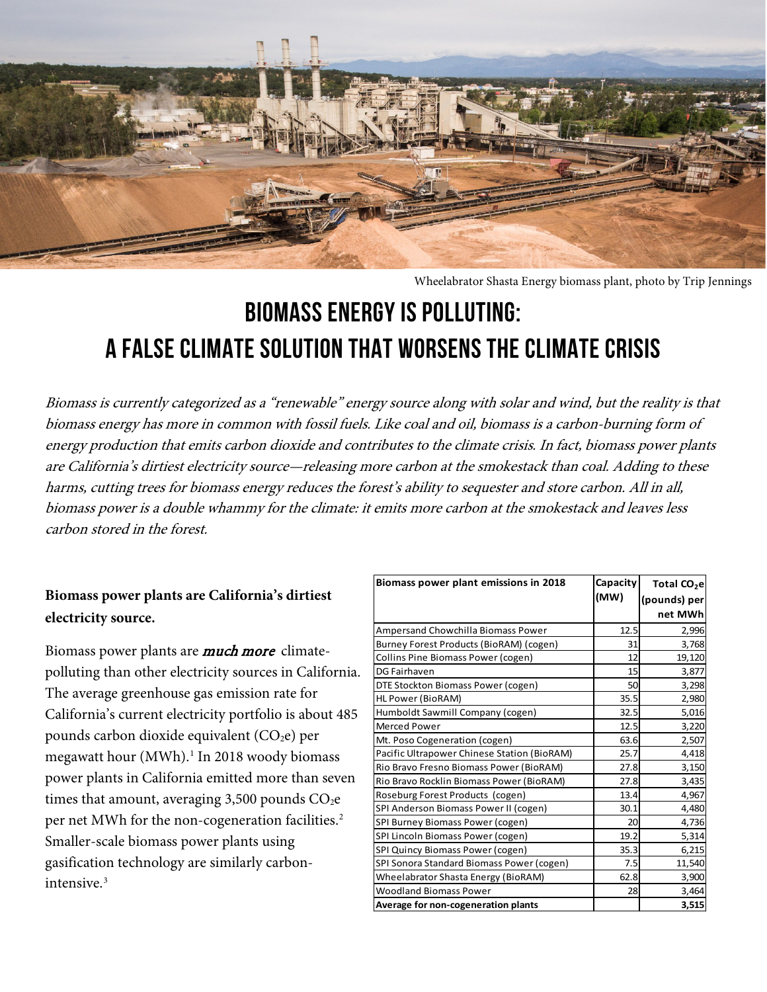

Wheelabrator Shasta Energy biomass plant, photo by Trip Jennings

# **Biomass Energy Is Polluting: A False Climate Solution That Worsens the Climate Crisis**

Biomass is currently categorized as a "renewable" energy source along with solar and wind, but the reality is that biomass energy has more in common with fossil fuels. Like coal and oil, biomass is a carbon-burning form of energy production that emits carbon dioxide and contributes to the climate crisis. In fact, biomass power plants are California's dirtiest electricity source—releasing more carbon at the smokestack than coal. Adding to these harms, cutting trees for biomass energy reduces the forest's ability to sequester and store carbon. All in all, biomass power is a double whammy for the climate: it emits more carbon at the smokestack and leaves less carbon stored in the forest.

## **Biomass power plants are California's dirtiest electricity source.**

Biomass power plants are **much more** climatepolluting than other electricity sources in California. The average greenhouse gas emission rate for California's current electricity portfolio is about 485 pounds carbon dioxide equivalent  $(CO<sub>2</sub>e)$  per megawatt hour (MWh).<sup>[1](#page-3-0)</sup> In 2018 woody biomass power plants in California emitted more than seven times that amount, averaging 3,500 pounds  $CO<sub>2</sub>e$ per net MWh for the non-cogeneration facilities. [2](#page-3-1) Smaller-scale biomass power plants using gasification technology are similarly carbonintensive.[3](#page-4-0)

| Biomass power plant emissions in 2018       | Capacity | Total CO <sub>2</sub> e |
|---------------------------------------------|----------|-------------------------|
|                                             | (MW)     | (pounds) per            |
|                                             |          | net MWh                 |
| Ampersand Chowchilla Biomass Power          | 12.5     | 2,996                   |
| Burney Forest Products (BioRAM) (cogen)     | 31       | 3,768                   |
| Collins Pine Biomass Power (cogen)          | 12       | 19,120                  |
| <b>DG Fairhaven</b>                         | 15       | 3,877                   |
| DTE Stockton Biomass Power (cogen)          | 50       | 3,298                   |
| HL Power (BioRAM)                           | 35.5     | 2,980                   |
| Humboldt Sawmill Company (cogen)            | 32.5     | 5,016                   |
| Merced Power                                | 12.5     | 3,220                   |
| Mt. Poso Cogeneration (cogen)               | 63.6     | 2,507                   |
| Pacific Ultrapower Chinese Station (BioRAM) | 25.7     | 4,418                   |
| Rio Bravo Fresno Biomass Power (BioRAM)     | 27.8     | 3,150                   |
| Rio Bravo Rocklin Biomass Power (BioRAM)    | 27.8     | 3,435                   |
| Roseburg Forest Products (cogen)            | 13.4     | 4,967                   |
| SPI Anderson Biomass Power II (cogen)       | 30.1     | 4,480                   |
| SPI Burney Biomass Power (cogen)            | 20       | 4,736                   |
| SPI Lincoln Biomass Power (cogen)           | 19.2     | 5,314                   |
| SPI Quincy Biomass Power (cogen)            | 35.3     | 6,215                   |
| SPI Sonora Standard Biomass Power (cogen)   | 7.5      | 11,540                  |
| Wheelabrator Shasta Energy (BioRAM)         | 62.8     | 3,900                   |
| <b>Woodland Biomass Power</b>               | 28       | 3,464                   |
| <b>Average for non-cogeneration plants</b>  |          | 3,515                   |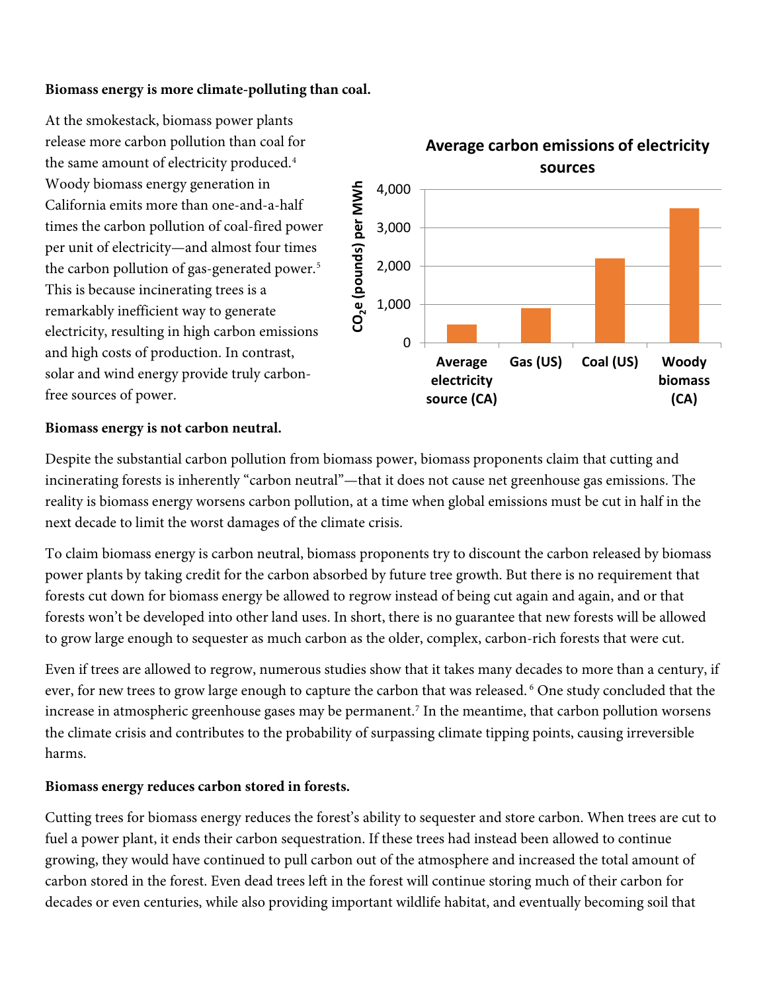### **Biomass energy is more climate-polluting than coal.**

At the smokestack, biomass power plants release more carbon pollution than coal for the same amount of electricity produced.<sup>[4](#page-4-1)</sup> Woody biomass energy generation in California emits more than one-and-a-half times the carbon pollution of coal-fired power per unit of electricity—and almost four times the carbon pollution of gas-generated power.<sup>[5](#page-4-2)</sup> This is because incinerating trees is a remarkably inefficient way to generate electricity, resulting in high carbon emissions and high costs of production. In contrast, solar and wind energy provide truly carbonfree sources of power.



#### **Biomass energy is not carbon neutral.**

Despite the substantial carbon pollution from biomass power, biomass proponents claim that cutting and incinerating forests is inherently "carbon neutral"—that it does not cause net greenhouse gas emissions. The reality is biomass energy worsens carbon pollution, at a time when global emissions must be cut in half in the next decade to limit the worst damages of the climate crisis.

To claim biomass energy is carbon neutral, biomass proponents try to discount the carbon released by biomass power plants by taking credit for the carbon absorbed by future tree growth. But there is no requirement that forests cut down for biomass energy be allowed to regrow instead of being cut again and again, and or that forests won't be developed into other land uses. In short, there is no guarantee that new forests will be allowed to grow large enough to sequester as much carbon as the older, complex, carbon-rich forests that were cut.

Even if trees are allowed to regrow, numerous studies show that it takes many decades to more than a century, if ever, for new trees to grow large enough to capture the carbon that was released. <sup>[6](#page-4-3)</sup> One study concluded that the increase in atmospheric greenhouse gases may be permanent.<sup>[7](#page-4-4)</sup> In the meantime, that carbon pollution worsens the climate crisis and contributes to the probability of surpassing climate tipping points, causing irreversible harms.

#### **Biomass energy reduces carbon stored in forests.**

Cutting trees for biomass energy reduces the forest's ability to sequester and store carbon. When trees are cut to fuel a power plant, it ends their carbon sequestration. If these trees had instead been allowed to continue growing, they would have continued to pull carbon out of the atmosphere and increased the total amount of carbon stored in the forest. Even dead trees left in the forest will continue storing much of their carbon for decades or even centuries, while also providing important wildlife habitat, and eventually becoming soil that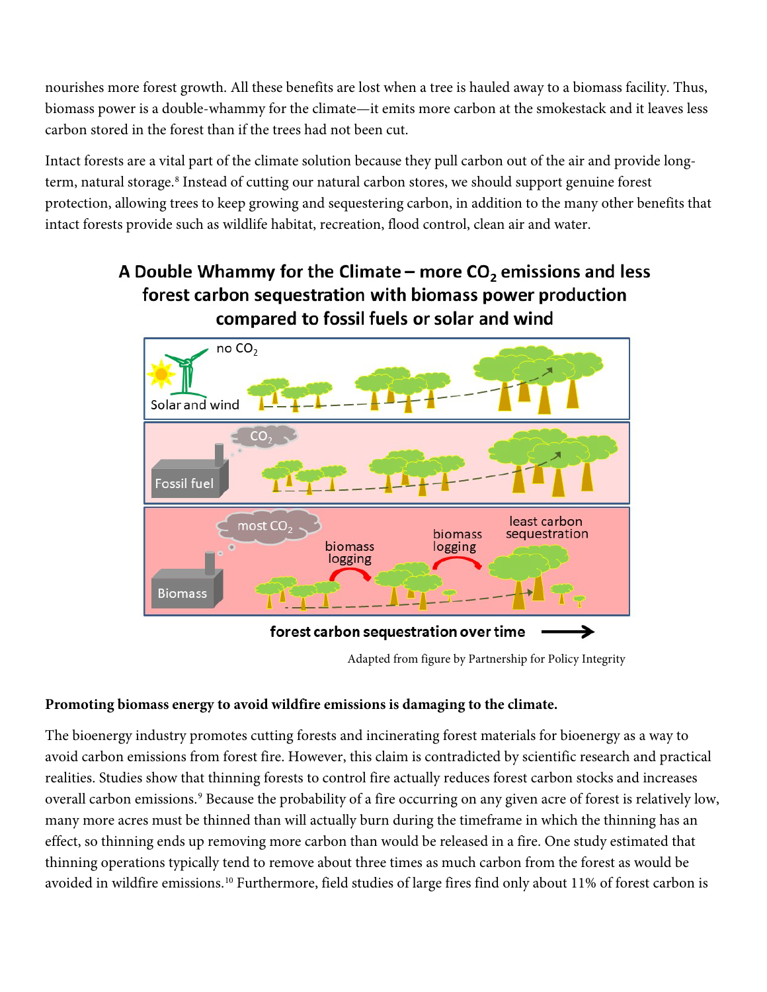nourishes more forest growth. All these benefits are lost when a tree is hauled away to a biomass facility. Thus, biomass power is a double-whammy for the climate—it emits more carbon at the smokestack and it leaves less carbon stored in the forest than if the trees had not been cut.

Intact forests are a vital part of the climate solution because they pull carbon out of the air and provide longterm, natural storage. [8](#page-4-5) Instead of cutting our natural carbon stores, we should support genuine forest protection, allowing trees to keep growing and sequestering carbon, in addition to the many other benefits that intact forests provide such as wildlife habitat, recreation, flood control, clean air and water.

# A Double Whammy for the Climate – more  $CO<sub>2</sub>$  emissions and less forest carbon sequestration with biomass power production compared to fossil fuels or solar and wind



Adapted from figure by Partnership for Policy Integrity

## **Promoting biomass energy to avoid wildfire emissions is damaging to the climate.**

The bioenergy industry promotes cutting forests and incinerating forest materials for bioenergy as a way to avoid carbon emissions from forest fire. However, this claim is contradicted by scientific research and practical realities. Studies show that thinning forests to control fire actually reduces forest carbon stocks and increases overall carbon emissions.<sup>[9](#page-4-6)</sup> Because the probability of a fire occurring on any given acre of forest is relatively low, many more acres must be thinned than will actually burn during the timeframe in which the thinning has an effect, so thinning ends up removing more carbon than would be released in a fire. One study estimated that thinning operations typically tend to remove about three times as much carbon from the forest as would be avoided in wildfire emissions.<sup>[10](#page-4-7)</sup> Furthermore, field studies of large fires find only about 11% of forest carbon is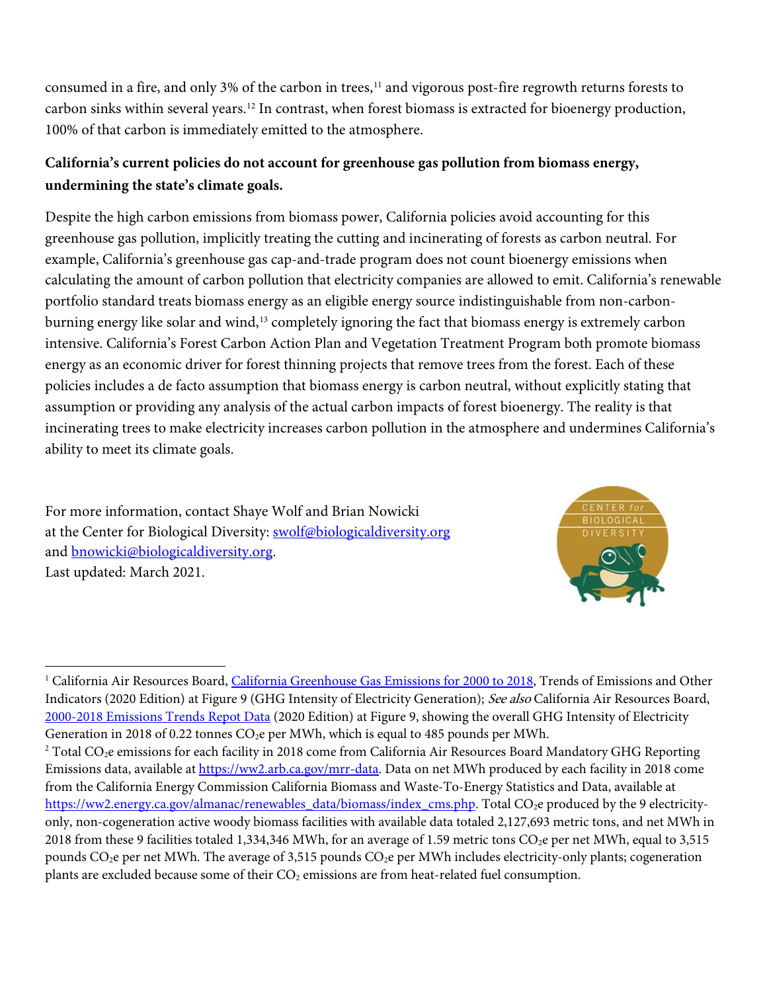consumed in a fire, and only 3% of the carbon in trees,<sup>[11](#page-4-8)</sup> and vigorous post-fire regrowth returns forests to carbon sinks within several years.[12](#page-4-9) In contrast, when forest biomass is extracted for bioenergy production, 100% of that carbon is immediately emitted to the atmosphere.

## **California's current policies do not account for greenhouse gas pollution from biomass energy, undermining the state's climate goals.**

Despite the high carbon emissions from biomass power, California policies avoid accounting for this greenhouse gas pollution, implicitly treating the cutting and incinerating of forests as carbon neutral. For example, California's greenhouse gas cap-and-trade program does not count bioenergy emissions when calculating the amount of carbon pollution that electricity companies are allowed to emit. California's renewable portfolio standard treats biomass energy as an eligible energy source indistinguishable from non-carbon-burning energy like solar and wind,<sup>[13](#page-4-10)</sup> completely ignoring the fact that biomass energy is extremely carbon intensive. California's Forest Carbon Action Plan and Vegetation Treatment Program both promote biomass energy as an economic driver for forest thinning projects that remove trees from the forest. Each of these policies includes a de facto assumption that biomass energy is carbon neutral, without explicitly stating that assumption or providing any analysis of the actual carbon impacts of forest bioenergy. The reality is that incinerating trees to make electricity increases carbon pollution in the atmosphere and undermines California's ability to meet its climate goals.

For more information, contact Shaye Wolf and Brian Nowicki at the Center for Biological Diversity: [swolf@biologicaldiversity.org](mailto:swolf@biologicaldiversity.org) and **bnowicki@biologicaldiversity.org.** Last updated: March 2021.



<span id="page-3-0"></span><sup>&</sup>lt;sup>1</sup> California Air Resources Board[, California Greenhouse Gas Emissions for 2000 to 2018,](https://ww3.arb.ca.gov/cc/inventory/pubs/reports/2000_2018/ghg_inventory_trends_00-18.pdf) Trends of Emissions and Other Indicators (2020 Edition) at Figure 9 (GHG Intensity of Electricity Generation); See also California Air Resources Board, [2000-2018 Emissions Trends Repot Data](https://ww3.arb.ca.gov/cc/inventory/pubs/reports/2000_2018/2000_2018_ghg_inventory_trends_figures.xlsx) (2020 Edition) at Figure 9, showing the overall GHG Intensity of Electricity Generation in 2018 of 0.22 tonnes  $CO<sub>2</sub>e$  per MWh, which is equal to 485 pounds per MWh.

<span id="page-3-1"></span> $2$  Total CO<sub>2</sub>e emissions for each facility in 2018 come from California Air Resources Board Mandatory GHG Reporting Emissions data, available a[t https://ww2.arb.ca.gov/mrr-data.](https://ww2.arb.ca.gov/mrr-data) Data on net MWh produced by each facility in 2018 come from the California Energy Commission California Biomass and Waste-To-Energy Statistics and Data, available at [https://ww2.energy.ca.gov/almanac/renewables\\_data/biomass/index\\_cms.php.](https://ww2.energy.ca.gov/almanac/renewables_data/biomass/index_cms.php) Total CO<sub>2</sub>e produced by the 9 electricityonly, non-cogeneration active woody biomass facilities with available data totaled 2,127,693 metric tons, and net MWh in 2018 from these 9 facilities totaled 1,334,346 MWh, for an average of 1.59 metric tons  $CO<sub>2</sub>e$  per net MWh, equal to 3,515 pounds  $CO<sub>2</sub>e$  per net MWh. The average of 3,515 pounds  $CO<sub>2</sub>e$  per MWh includes electricity-only plants; cogeneration plants are excluded because some of their  $CO<sub>2</sub>$  emissions are from heat-related fuel consumption.